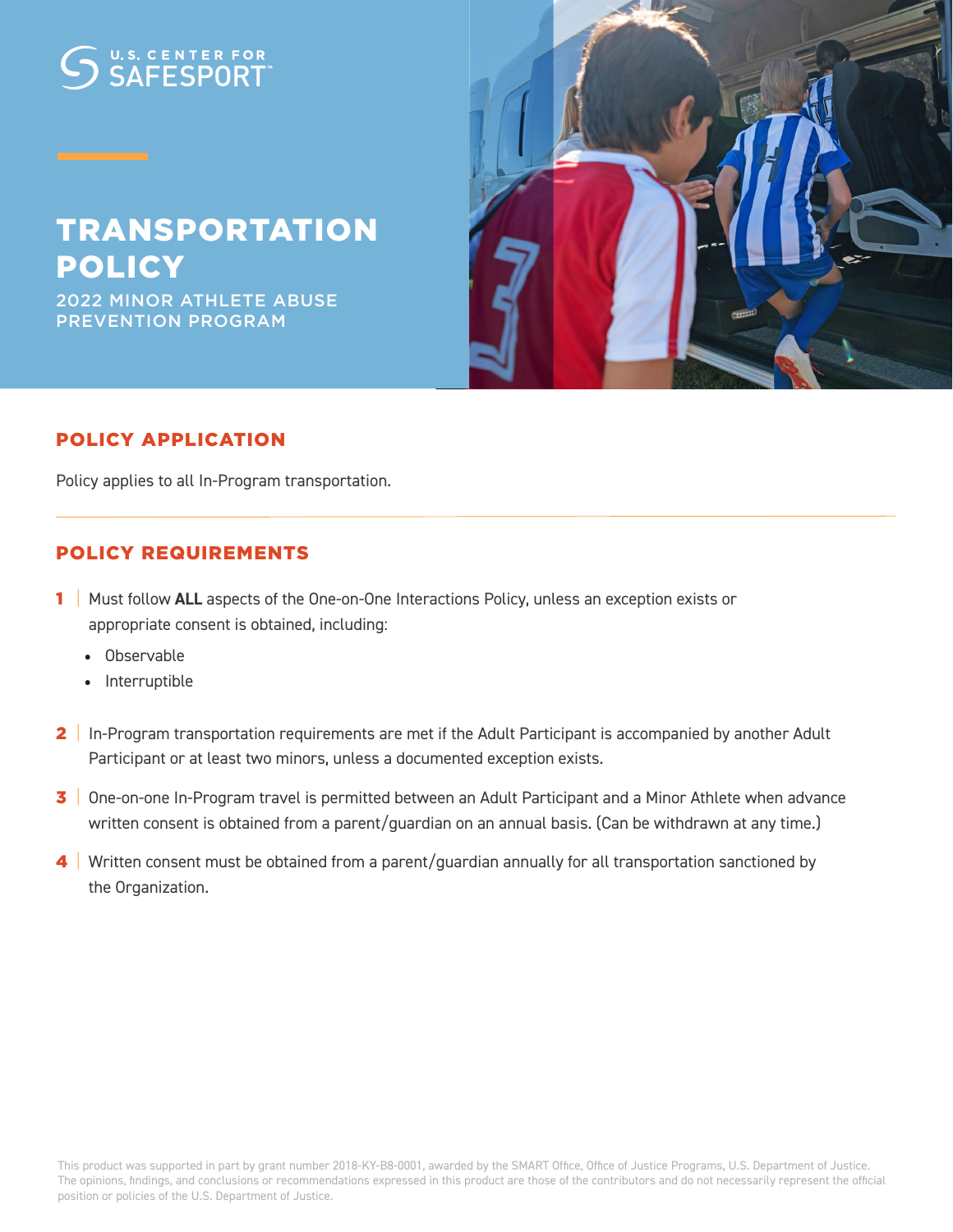# U.S. CENTER FOR

# TRANSPORTATION POLICY

2022 MINOR ATHLETE ABUSE PREVENTION PROGRAM



### POLICY APPLICATION

Policy applies to all In-Program transportation.

#### POLICY REQUIREMENTS

- 1 | Must follow **ALL** aspects of the One-on-One Interactions Policy, unless an exception exists or appropriate consent is obtained, including:
	- Observable
	- Interruptible
- 2 | In-Program transportation requirements are met if the Adult Participant is accompanied by another Adult Participant or at least two minors, unless a documented exception exists.
- 3 One-on-one In-Program travel is permitted between an Adult Participant and a Minor Athlete when advance written consent is obtained from a parent/guardian on an annual basis. (Can be withdrawn at any time.)
- 4 | Written consent must be obtained from a parent/guardian annually for all transportation sanctioned by the Organization.